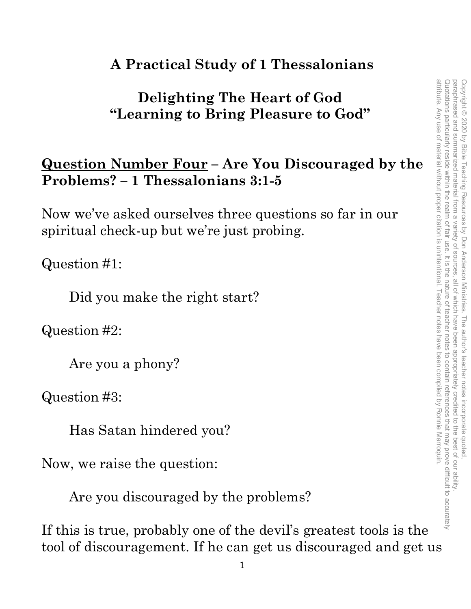#### **A Practical Study of 1 Thessalonians**

#### **Delighting The Heart of God "Learning to Bring Pleasure to God"**

#### **Question Number Four – Are You Discouraged by the Problems? – 1 Thessalonians 3:1-5**

Now we've asked ourselves three questions so far in our spiritual check-up but we're just probing.

Question #1:

Did you make the right start?

Question #2:

Are you a phony?

Question #3:

Has Satan hindered you?

Now, we raise the question:

Are you discouraged by the problems?

If this is true, probably one of the devil's greatest tools is the tool of discouragement. If he can get us discouraged and get us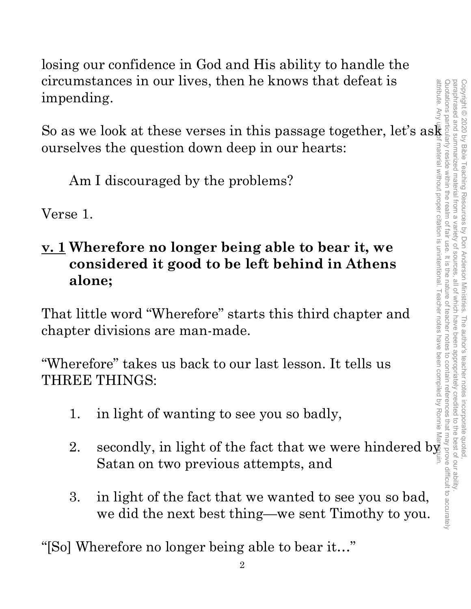losing our confidence in God and His ability to handle the circumstances in our lives, then he knows that defeat is impending.

So as we look at these verses in this passage together, let's as ourselves the question down deep in our hearts:

Am I discouraged by the problems?

Verse 1.

# **v. 1 Wherefore no longer being able to bear it, we considered it good to be left behind in Athens alone;** 2. secondly, in light of the fact that we ward do see you so bad,<br>
we did the fact that we wards the fact that we were hindered by the problems?<br>
Am I discouraged by the problems?<br>  $\frac{1}{2}$ <br>  $\frac{1}{2}$ <br>  $\frac{1}{2}$ <br>  $\frac{1}{2}$

That little word "Wherefore" starts this third chapter and chapter divisions are man-made.

"Wherefore" takes us back to our last lesson. It tells us THREE THINGS:

- 1. in light of wanting to see you so badly,
- Satan on two previous attempts, and
- 3. in light of the fact that we wanted to see you so bad, we did the next best thing—we sent Timothy to you.

"[So] Wherefore no longer being able to bear it…"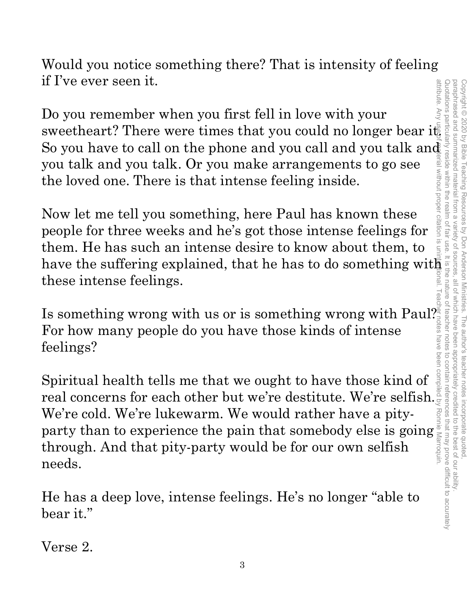paraphrased and summarized material from a attribute. Any attribute. Any use of material without proper citation is unintentional. Teacher notes have been compiled by Ronnie Marroquin.Quotations particularly reside within the realm of fair use. It is the nature of teacher notes to contain references that may prove difficult to accurately paraphrased and summarized material from a variety of sources, all of which have been appropriately credited to the best of our ability. Copyright © 2020 by Bible Teaching Resources Copyright © 2020 by Bible Teaching Resources by Don Anderson Ministries. The author's teacher notes incorporate quoted, srial without proper citation is variety of sources by Don Anderson Ministries. The author's teacher notes incorporate quoted all of Which have been appropriately credited to the best of our ability

Would you notice something there? That is intensity of feeling if I've ever seen it.

Do you remember when you first fell in love with your So you have to call on the phone and you call and you talk and you talk and you talk. Or you make arrangements to go see the loved one. There is that intense feeling inside.

Now let me tell you something, here Paul has known these people for three weeks and he's got those intense feelings for them. He has such an intense desire to know about them, to have the suffering explained, that he has to do something with these intense feelings.

Is something wrong with us or is something wrong with Paul? For how many people do you have those kinds of intense feelings?

It is the second of the plane of the plane and you can be a plane of the boyou have to call on the phone and you call and you talk and you talk. Or you make arrangements to go see<br>the loved one. There is that intense feeli Spiritual health tells me that we ought to have those kind of real concerns for each other but we're destitute. We're selfish. We're cold. We're lukewarm. We would rather have a pity-We're cold. We're lukewarm. We would rather have a pity-<br>party than to experience the pain that somebody else is going<br>through. And that pity-party would be for our own selfish through. And that pity-party would be for our own selfish needs.

He has a deep love, intense feelings. He's no longer "able to bear it."

Verse 2.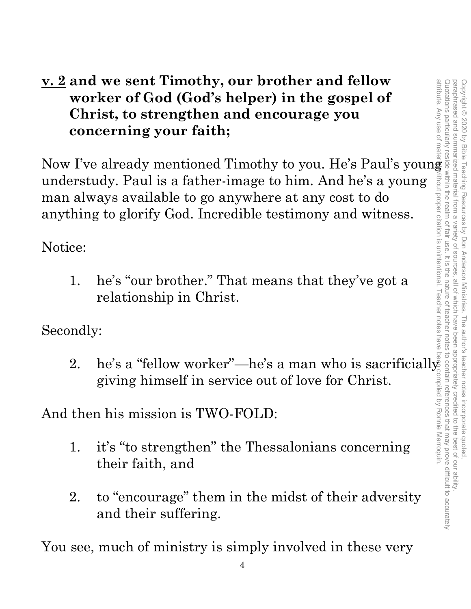#### **v. 2 and we sent Timothy, our brother and fellow worker of God (God's helper) in the gospel of Christ, to strengthen and encourage you concerning your faith;**

Now I've already mentioned Timothy to you. He's Paul's young understudy. Paul is a father-image to him. And he's a young man always available to go anywhere at any cost to do anything to glorify God. Incredible testimony and witness.

Notice:

1. he's "our brother." That means that they've got a relationship in Christ.

Secondly:

2. he's a "fellow worker"—he's a man who is sacrificially giving himself in service out of love for Christ.

And then his mission is TWO-FOLD:

- 1. it's "to strengthen" the Thessalonians concerning their faith, and
- 2. to "encourage" them in the midst of their adversity and their suffering.

You see, much of ministry is simply involved in these very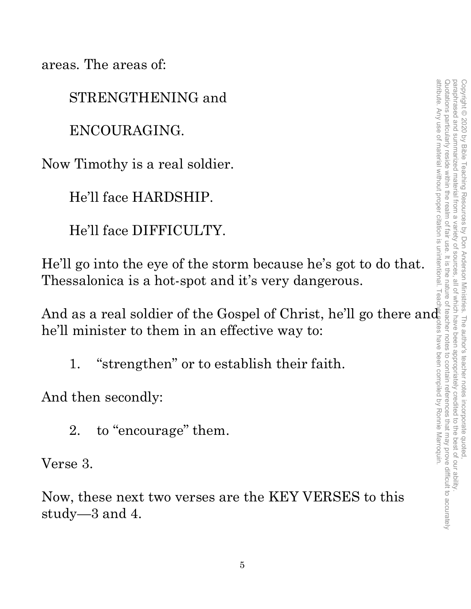areas. The areas of:

STRENGTHENING and

ENCOURAGING.

Now Timothy is a real soldier.

He'll face HARDSHIP.

He'll face DIFFICULTY.

He'll go into the eye of the storm because he's got to do that. Thessalonica is a hot-spot and it's very dangerous.

And as a real soldier of the Gospel of Christ, he'll go there and he'll minister to them in an effective way to:

1. "strengthen" or to establish their faith.

And then secondly:

2. to "encourage" them.

Verse 3.

Now, these next two verses are the KEY VERSES to this study—3 and 4.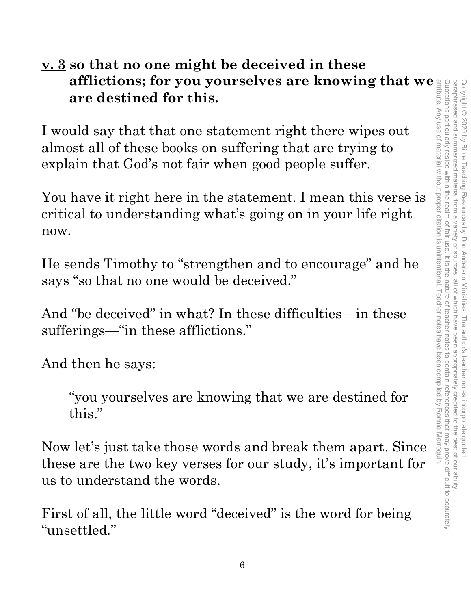#### **v. 3 so that no one might be deceived in these afflictions; for you yourselves are knowing that we are destined for this.**

I would say that that one statement right there wipes out almost all of these books on suffering that are trying to explain that God's not fair when good people suffer.

You have it right here in the statement. I mean this verse is critical to understanding what's going on in your life right now.

He sends Timothy to "strengthen and to encourage" and he says "so that no one would be deceived."

And "be deceived" in what? In these difficulties—in these sufferings—"in these afflictions."

And then he says:

"you yourselves are knowing that we are destined for this."

Now let's just take those words and break them apart. Since these are the two key verses for our study, it's important for us to understand the words.

First of all, the little word "deceived" is the word for being "unsettled."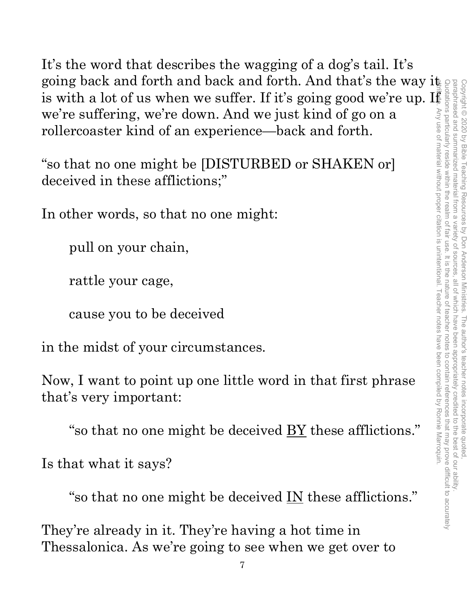It's the word that describes the wagging of a dog's tail. It's going back and forth and back and forth. And that's the way it is with a lot of us when we suffer. If it's going good we're up. If we're suffering, we're down. And we just kind of go on a rollercoaster kind of an experience—back and forth.

"so that no one might be [DISTURBED or SHAKEN or] deceived in these afflictions;"

In other words, so that no one might:

pull on your chain,

rattle your cage,

cause you to be deceived

in the midst of your circumstances.

Now, I want to point up one little word in that first phrase that's very important:

"so that no one might be deceived  $\underline{BY}$  these afflictions."

Is that what it says?

"so that no one might be deceived <u>IN</u> these afflictions."

They're already in it. They're having a hot time in Thessalonica. As we're going to see when we get over to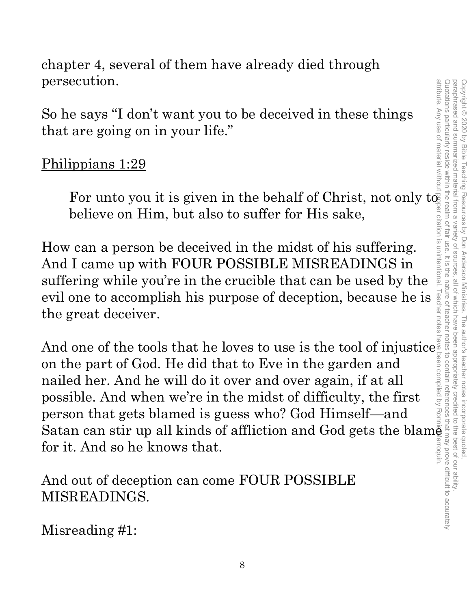chapter 4, several of them have already died through persecution.

So he says "I don't want you to be deceived in these things that are going on in your life."

#### Philippians 1:29

For unto you it is given in the behalf of Christ, not only to believe on Him, but also to suffer for His sake,

How can a person be deceived in the midst of his suffering. And I came up with FOUR POSSIBLE MISREADINGS in suffering while you're in the crucible that can be used by the evil one to accomplish his purpose of deception, because he is the great deceiver.

And one of the tools that he loves to use is the tool of injustice. on the part of God. He did that to Eve in the garden and nailed her. And he will do it over and over again, if at all possible. And when we're in the midst of difficulty, the first person that gets blamed is guess who? God Himself—and Satan can stir up all kinds of affliction and God gets the blam for it. And so he knows that. attribute. Any use of material without proper citation is unintentional. Teacher notes have been compiled by Ronnie Marroquin.

And out of deception can come FOUR POSSIBLE MISREADINGS.

Misreading #1: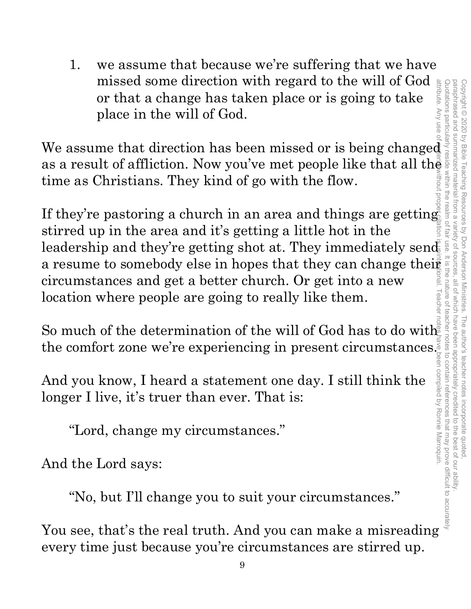1. we assume that because we're suffering that we have missed some direction with regard to the will of God or that a change has taken place or is going to take place in the will of God.

missed some direction with regard to the will of God<br>or that a change has taken place or is going to take<br>place in the will of God.<br>We assume that direction has been missed or is being changed<br>as a result of affliction. N as a result of affliction. Now you've met people like that all the time as Christians. They kind of go with the flow.

If they're pastoring a church in an area and things are getting stirred up in the area and it's getting a little hot in the leadership and they're getting shot at. They immediately send a resume to somebody else in hopes that they can change their<br>
circumstances and get a better church. Or get into a new<br>
location where people are going to really like them.<br>
So much of the determination of the will of Go circumstances and get a better church. Or get into a new location where people are going to really like them.

So much of the determination of the will of God has to do with the comfort zone we're experiencing in present circumstances.

And you know, I heard a statement one day. I still think the longer I live, it's truer than ever. That is:

"Lord, change my circumstances."

And the Lord says:

"No, but I'll change you to suit your circumstances."

You see, that's the real truth. And you can make a misreading every time just because you're circumstances are stirred up.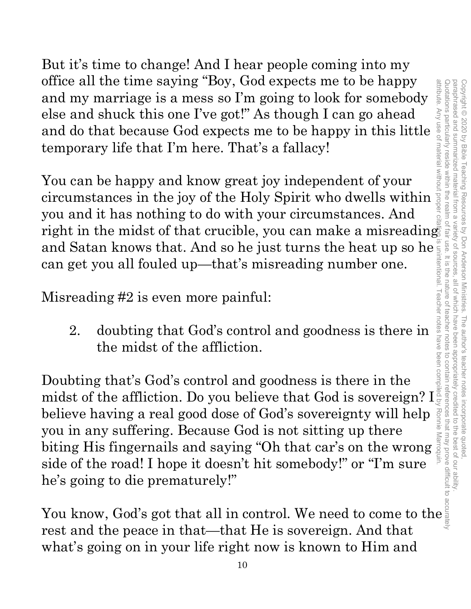But it's time to change! And I hear people coming into my office all the time saying "Boy, God expects me to be happy and my marriage is a mess so I'm going to look for somebody else and shuck this one I've got!" As though I can go ahead and do that because God expects me to be happy in this little temporary life that I'm here. That's a fallacy!

You can be happy and know great joy independent of your circumstances in the joy of the Holy Spirit who dwells within you and it has nothing to do with your circumstances. And right in the midst of that crucible, you can make a misreading can get you all fouled up—that's misreading number one.

Misreading #2 is even more painful:

2. doubting that God's control and goodness is there in the midst of the affliction.

of the mission is time saying "boy, God expects me to be happy<br>and my marriage is a mess of  $\Gamma$  as though I can go ahead<br>and do that because God expects me to be happy in this little<br>temporary life that  $\Gamma$ m here. That' and Satan knows that. And so he just turns the heat up so he<br>
can get you all fouled up—that's misreading number one.<br>
Misreading #2 is even more painful:<br>
2. doubting that God's control and goodness is there in  $\frac{1}{\frac{$ Doubting that's God's control and goodness is there in the midst of the affliction. Do you believe that God is sovereign? I believe having a real good dose of God's sovereignty will help Ronnie you in any suffering. Because God is not sitting up there you in any suitering. Because God is not sitting up there<br>biting His fingernails and saying "Oh that car's on the wrong side of the road! I hope it doesn't hit somebody!" or "I'm sure he's going to die prematurely!"

rest and the peace in that—that He is sovereign. And that what's going on in your life right now is known to Him and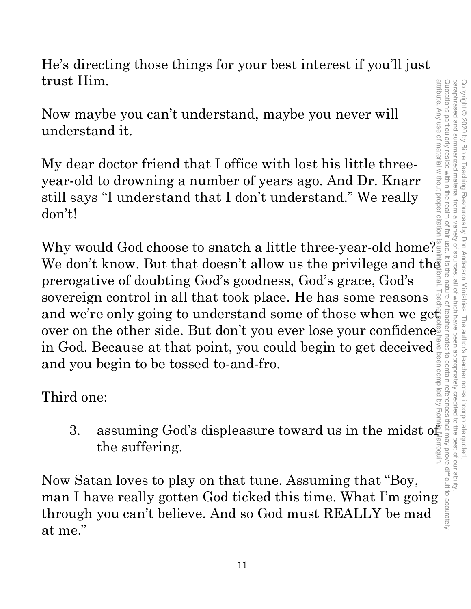He's directing those things for your best interest if you'll just trust Him.

Now maybe you can't understand, maybe you never will understand it.

My dear doctor friend that I office with lost his little threeyear-old to drowning a number of years ago. And Dr. Knarr still says "I understand that I don't understand." We really don't!

Why would God choose to snatch a little three-year-old home? $\frac{\text{``}}{\text{''}}$ We don't know. But that doesn't allow us the privilege and the prerogative of doubting God's goodness, God's grace, God's sovereign control in all that took place. He has some reasons and we're only going to understand some of those when we get over on the other side. But don't you ever lose your confidence in God. Because at that point, you could begin to get deceived $\langle$ and you begin to be tossed to-and-fro. and we're only going to understand some of those when we get<br>
over on the other side. But don't you ever lose your confidence<br>
in God. Because at that point, you could begin to get deceived<br>
and you begin to be tossed to attribute. Any use of material without proper citation is unintentional. Teacher notes have been compiled by Ronnie Marroquin.

Third one:

3. assuming God's displeasure toward us in the midst  $\alpha$ the suffering.

Now Satan loves to play on that tune. Assuming that "Boy, through you can't believe. And so God must REALLY be mad at me."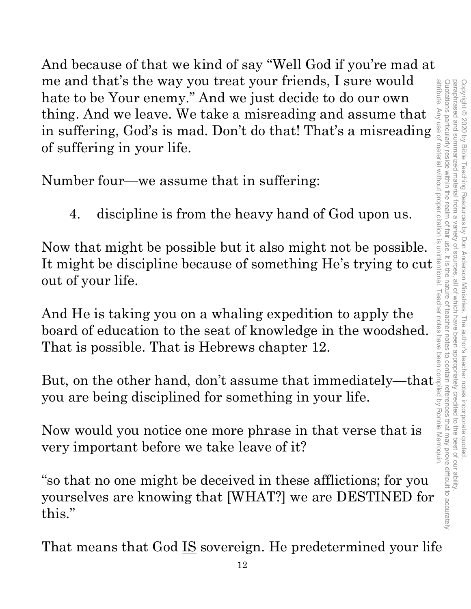And because of that we kind of say "Well God if you're mad at me and that's the way you treat your friends, I sure would hate to be Your enemy." And we just decide to do our own thing. And we leave. We take a misreading and assume that thing. And we leave. We take a misreading and assume that  $\frac{3}{5}$  in suffering, God's is mad. Don't do that! That's a misreading  $\frac{5}{9}$ of suffering in your life.

Number four—we assume that in suffering:

4. discipline is from the heavy hand of God upon us.

Now that might be possible but it also might not be possible. of suffering in your life.<br>
Number four—we assume that in suffering:<br>
4. discipline is from the heavy hand of God upon us.<br>
Now that might be possible but it also might not be possible.<br>
It might be discipline because of out of your life.

And He is taking you on a whaling expedition to apply the board of education to the seat of knowledge in the woodshed. That is possible. That is Hebrews chapter 12.

But, on the other hand, don't assume that immediately—that you are being disciplined for something in your life.

Now would you notice one more phrase in that verse that is very important before we take leave of it?

"so that no one might be deceived in these afflictions; for you yourselves are knowing that [WHAT?] we are DESTINED for this."

That means that God IS sovereign. He predetermined your life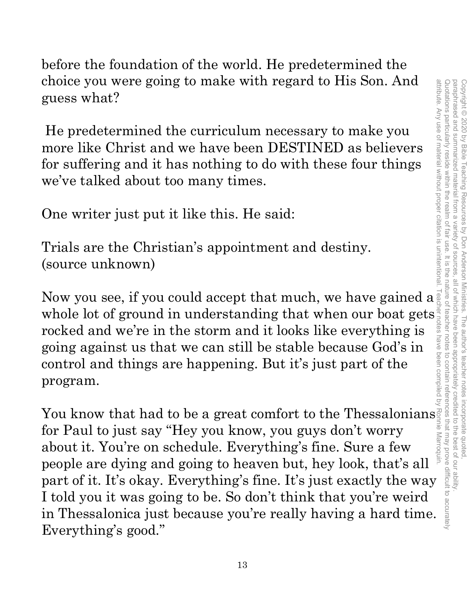Quotations particularly reside within the realm of fair use. It is the nature of teacher notes to contain references that may prove difficult to accurately paraphrased and summarized material from a attribute. Any use of material without proper citation is unintentional. Teacher notes have been compiled by Ronnie Marroquin.Quotations particularly reside within the realm of fair use. It is the nature of teacher notes to contain references that may prove difficult to accurately paraphrased and summarized material from a variety of sources, all of which have been appropriately credited to the best of our ability. Copyright © 2020 by Bible Teaching Resources Copyright © 2020 by Bible Teaching Resources by Don Anderson Ministries. The author's teacher notes incorporate quoted, variety of sources by Don Anderson Ministries. The author's teacher notes incorporate quoted all of which have been appropriately credited to the best of our ability

before the foundation of the world. He predetermined the choice you were going to make with regard to His Son. And guess what?

He predetermined the curriculum necessary to make you more like Christ and we have been DESTINED as believers for suffering and it has nothing to do with these four things we've talked about too many times.

One writer just put it like this. He said:

Trials are the Christian's appointment and destiny. (source unknown)

Now you see, if you could accept that much, we have gained a whole lot of ground in understanding that when our boat gets rocked and we're in the storm and it looks like everything is going against us that we can still be stable because God's in control and things are happening. But it's just part of the program.

You know that had to be a great comfort to the Thessalonians for Paul to just say "Hey you know, you guys don't worry about it. You're on schedule. Everything's fine. Sure a few people are dying and going to heaven but, hey look, that's all part of it. It's okay. Everything's fine. It's just exactly the way I told you it was going to be. So don't think that you're weird in Thessalonica just because you're really having a hard time. Everything's good."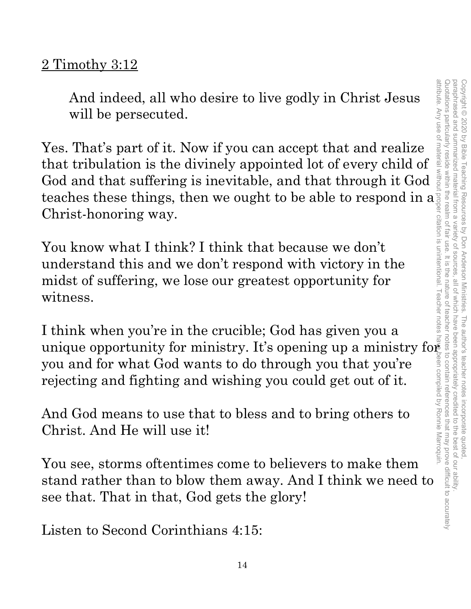#### 2 Timothy 3:12

And indeed, all who desire to live godly in Christ Jesus will be persecuted.

Yes. That's part of it. Now if you can accept that and realize that tribulation is the divinely appointed lot of every child of God and that suffering is inevitable, and that through it God teaches these things, then we ought to be able to respond in a Christ-honoring way.

You know what I think? I think that because we don't understand this and we don't respond with victory in the midst of suffering, we lose our greatest opportunity for witness.

I think when you're in the crucible; God has given you a unique opportunity for ministry. It's opening up a ministry for you and for what God wants to do through you that you're rejecting and fighting and wishing you could get out of it.

And God means to use that to bless and to bring others to Christ. And He will use it!

You see, storms oftentimes come to believers to make them stand rather than to blow them away. And I think we need to see that. That in that, God gets the glory!

Listen to Second Corinthians 4:15: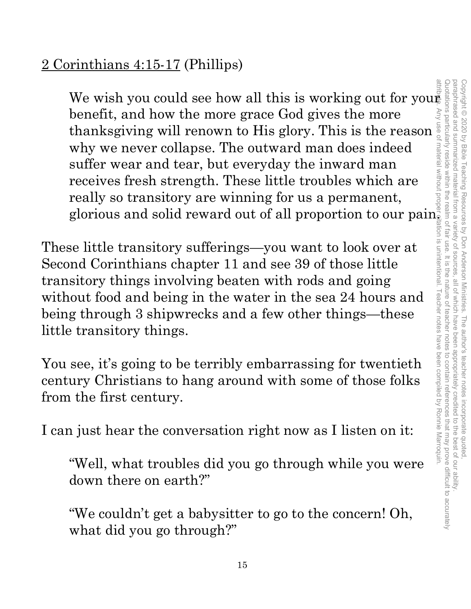### 2 Corinthians 4:15-17 (Phillips)

We wish you could see how all this is working out for your benefit, and how the more grace God gives the more thanksgiving will renown to His glory. This is the reason why we never collapse. The outward man does indeed suffer wear and tear, but everyday the inward man receives fresh strength. These little troubles which are really so transitory are winning for us a permanent, glorious and solid reward out of all proportion to our pain.

These little transitory sufferings—you want to look over at Second Corinthians chapter 11 and see 39 of those little transitory things involving beaten with rods and going without food and being in the water in the sea 24 hours and being through 3 shipwrecks and a few other things—these little transitory things.

You see, it's going to be terribly embarrassing for twentieth century Christians to hang around with some of those folks from the first century.

I can just hear the conversation right now as I listen on it:

"Well, what troubles did you go through while you were down there on earth?"

"We couldn't get a babysitter to go to the concern! Oh, what did you go through?"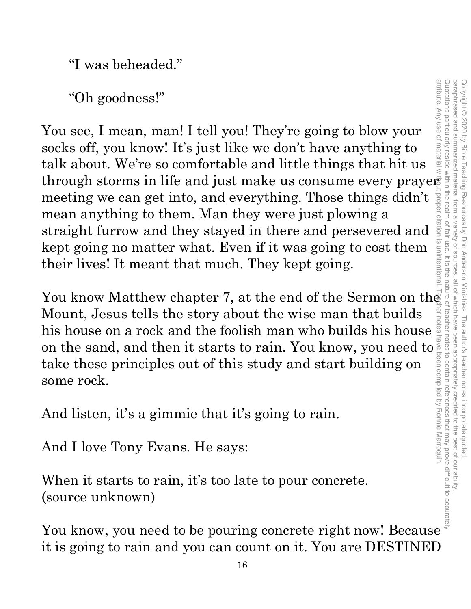"I was beheaded."

"Oh goodness!"

You see, I mean, man! I tell you! They're going to blow your socks off, you know! It's just like we don't have anything to talk about. We're so comfortable and little things that hit us through storms in life and just make us consume every prayer meeting we can get into, and everything. Those things didn't mean anything to them. Man they were just plowing a straight furrow and they stayed in there and persevered and kept going no matter what. Even if it was going to cost them their lives! It meant that much. They kept going. "Oh goodness!"<br>
You see, I mean, man! I tell you! They're going to blow your<br>
socks off, you know! It's just like we don't have anything to<br>
talk about. We're so comfortable and little things that hit us<br>
through storms i

Mount, Jesus tells the story about the wise man that builds his house on a rock and the foolish man who builds his house on the sand, and then it starts to rain. You know, you need to take these principles out of this study and start building on some rock.

And listen, it's a gimmie that it's going to rain.

And I love Tony Evans. He says:

When it starts to rain, it's too late to pour concrete. (source unknown)

You know, you need to be pouring concrete right now! Because it is going to rain and you can count on it. You are DESTINED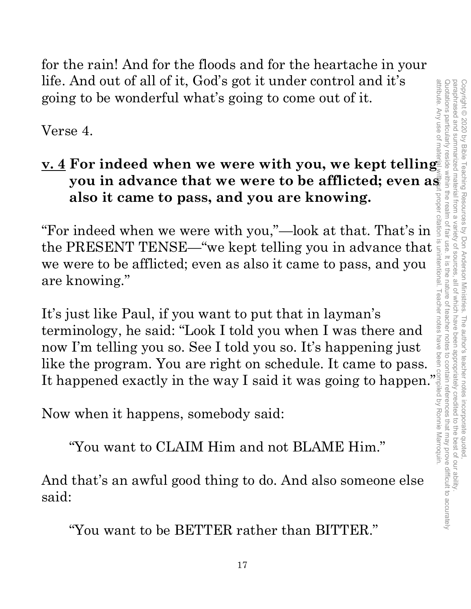for the rain! And for the floods and for the heartache in your life. And out of all of it, God's got it under control and it's going to be wonderful what's going to come out of it.

Verse 4.

## **v. 4 For indeed when we were with you, we kept telling also it came to pass, and you are knowing.**

"For indeed when we were with you,"—look at that. That's in the PRESENT TENSE—"we kept telling you in advance that  $\frac{3}{2}$  we were to be afflicted; even as also it came to pass, and you are knowing." we were to be afflicted; even as also it came to pass, and you are knowing."

For indeed when we were with you, we kept telling<br>you in advance that we were to be afflicted; even as<br>also it came to pass, and you are knowing.<br>indeed when we were with you,"—look at that. That's in<br>PRESENT TENSE—"we kep It's just like Paul, if you want to put that in layman's terminology, he said: "Look I told you when I was there and now I'm telling you so. See I told you so. It's happening just like the program. You are right on schedule. It came to pass. It's just like Paul, if you want to put that in layman's<br>
terminology, he said: "Look I told you when I was there and<br>
now I'm telling you so. See I told you so. It's happening just<br>
like the program. You are right on sch

Now when it happens, somebody said:

"You want to CLAIM Him and not BLAME Him."

And that's an awful good thing to do. And also someone else said:

"You want to be BETTER rather than BITTER."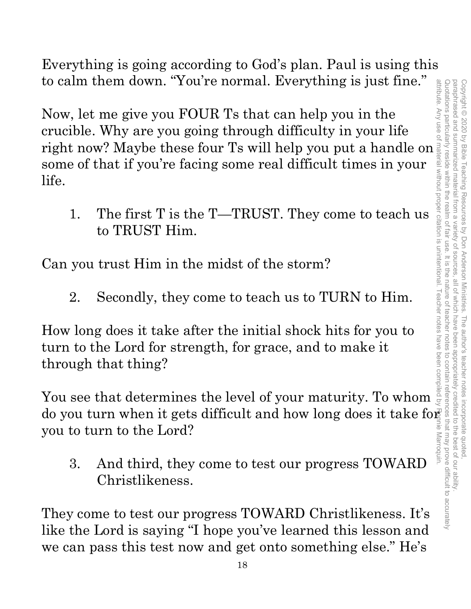attribute. Any use of material without proper citation is unintentional. Teacher notes have been compiled by Ronnie Marroquin.Quotations particularly reside within the realm of fair use. It is the nature of teacher notes to contain references that may prove difficult to accurately paraphrased and paraphrased and summarized material from a variety of sources, all of which have been appropriately credited to the best of our ability. Copyright © 2020 by Bible Teaching Resources Copyright © 2020 by Bible Teaching Resources by Don Anderson Ministries. The author's teacher notes incorporate quoted, summarized material from a variety of by Don Anderson Ministries. The author's teacher notes incorporate quoted all of which have been appropriately credited to the best of our ability. Marroquin

Everything is going according to God's plan. Paul is using this to calm them down. "You're normal. Everything is just fine."

Now, let me give you FOUR Ts that can help you in the crucible. Why are you going through difficulty in your life ro calm them down. Toure normal. Everything is just line.<br>
Now, let me give you FOUR Ts that can help you in the<br>
crucible. Why are you going through difficulty in your life<br>
right now? Maybe these four Ts will help you p some of that if you're facing some real difficult times in your life. to calm them down. You're normal. Everything is just fine.<br>
Now, let me give you FOUR Ts that can help you in the<br>
crucible. Why are you going through difficulty in your life<br>
some of that if you're facing some real diffic

1. The first T is the T—TRUST. They come to teach us to TRUST Him.

Can you trust Him in the midst of the storm?

2. Secondly, they come to teach us to TURN to Him.

How long does it take after the initial shock hits for you to turn to the Lord for strength, for grace, and to make it through that thing?

You see that determines the level of your maturity. To whom you to turn to the Lord?

3. And third, they come to test our progress TOWARD Christlikeness.

They come to test our progress TOWARD Christlikeness. It's like the Lord is saying "I hope you've learned this lesson and we can pass this test now and get onto something else." He's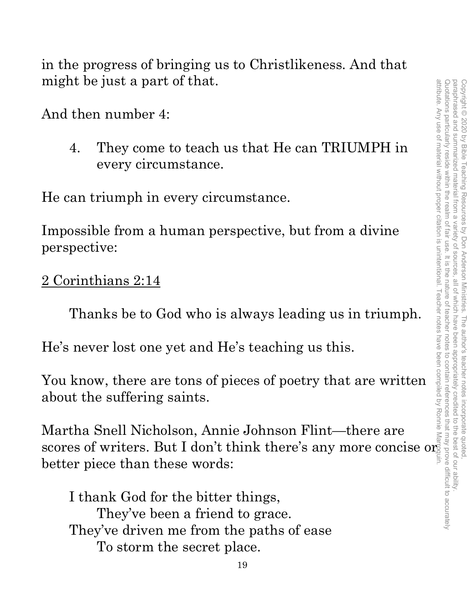in the progress of bringing us to Christlikeness. And that might be just a part of that.

And then number 4:

4. They come to teach us that He can TRIUMPH in every circumstance.

He can triumph in every circumstance.

Impossible from a human perspective, but from a divine perspective:

2 Corinthians 2:14

Thanks be to God who is always leading us in triumph.

He's never lost one yet and He's teaching us this.

You know, there are tons of pieces of poetry that are written about the suffering saints.

Martha Snell Nicholson, Annie Johnson Flint—there are scores of writers. But I don't think there's any more concise or better piece than these words:

I thank God for the bitter things, They've been a friend to grace. They've driven me from the paths of ease To storm the secret place.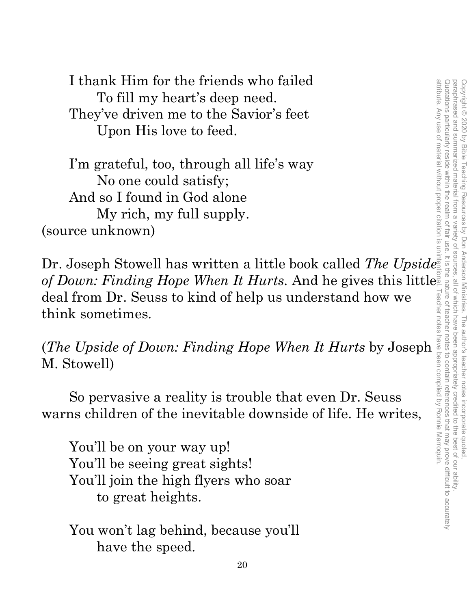I thank Him for the friends who failed To fill my heart's deep need. They've driven me to the Savior's feet Upon His love to feed.

I'm grateful, too, through all life's way No one could satisfy; And so I found in God alone My rich, my full supply. (source unknown)

Dr. Joseph Stowell has written a little book called *The Upside of Down: Finding Hope When It Hurts*. And he gives this littlest<br>
deal from Dr. Seuss to kind of help us understand how we<br>
think sometimes.<br>
(*The Upside of Down: Finding Hope When It Hurts* by Joseph<br>
M. Stowell)<br>
So pe deal from Dr. Seuss to kind of help us understand how we think sometimes.

(*The Upside of Down: Finding Hope When It Hurts* by Joseph M. Stowell)

So pervasive a reality is trouble that even Dr. Seuss warns children of the inevitable downside of life. He writes,

 You'll be on your way up! You'll be seeing great sights! You'll join the high flyers who soar to great heights.

You won't lag behind, because you'll have the speed.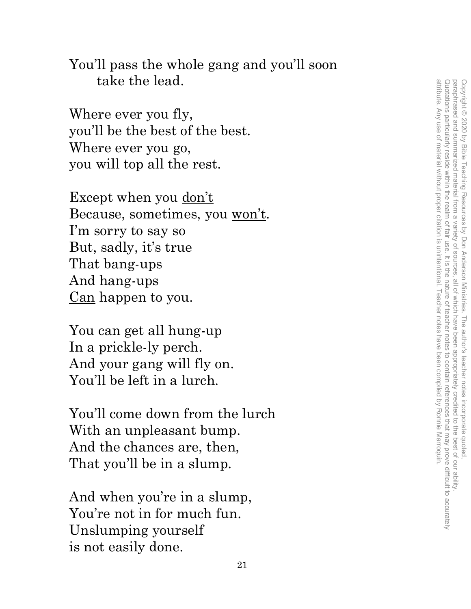You'll pass the whole gang and you'll soon take the lead.

Where ever you fly, you'll be the best of the best. Where ever you go, you will top all the rest.

Except when you don't Because, sometimes, you won't. I'm sorry to say so But, sadly, it's true That bang-ups And hang-ups Can happen to you.

You can get all hung-up In a prickle-ly perch. And your gang will fly on. You'll be left in a lurch.

 You'll come down from the lurch With an unpleasant bump. And the chances are, then, That you'll be in a slump.

And when you're in a slump, You're not in for much fun. Unslumping yourself is not easily done.

attribute. Any use of material without proper citation is unintentional. Teacher notes have been compiled by Ronnie Marroquin. Quotations particularly reside within the realm of fair use. It is the nature of teacher notes to contain references that may prove difficult to accurately paraphrased and summarized material from a variety of sources, attribute. Any use of material without proper citation is unintentional. Teacher notes have been compiled by Ronnie Marroquin.Quotations particularly reside within the realm of fair use. It is the nature of teacher notes to contain references that may prove difficult to accurately paraphrased and summarized material from a variety of sources, all of which have been appropriately credited to the best of our ability. Copyright © 2020 by Bible Teaching Resources by Don Anderson Ministries. The author's teacher notes incorporate quoted Copyright © 2020 by Bible Teaching Resources by Don Anderson Ministries. The author's teacher notes incorporate quoted, , all of which have been appropriately credited to the best of our ability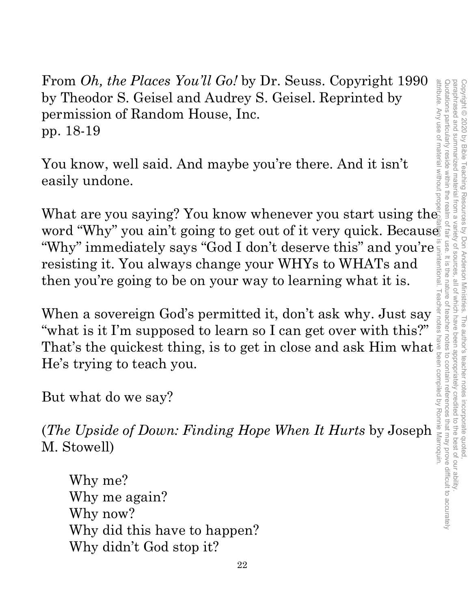Quotations particularly reside within the realm paraphrased and summarized material from a attribute. Any use of material without proper citation is unintentional. Teacher notes have been compiled by Ronnie Marroquin.Quotations particularly reside within the realm of fair use. It is the nature of teacher notes to contain references that may prove difficult to accurately paraphrased and summarized material from a variety of sources, all of which have been appropriately credited to the best of our ability. Copyright © 2020 by Bible Teaching Resources Copyright © 2020 by Bible Teaching Resources by Don Anderson Ministries. The author's teacher notes incorporate quoted, f falr use by Don Anderson Ministries sources . It is the nature of teacher notes to contain references that may prove difficult to accurately all of which have been appropriately credited . The author's teacher notes incorporate quoted to the best of our ability

From *Oh, the Places You'll Go!* by Dr. Seuss. Copyright 1990 by Theodor S. Geisel and Audrey S. Geisel. Reprinted by permission of Random House, Inc. pp. 18-19

You know, well said. And maybe you're there. And it isn't easily undone.

What are you saying? You know whenever you start using the word "Why" you ain't going to get out of it very quick. Because "Why" immediately says "God I don't deserve this" and you're resisting it. You always change your WHYs to WHATs and then you're going to be on your way to learning what it is.

When a sovereign God's permitted it, don't ask why. Just say "what is it I'm supposed to learn so I can get over with this?" That's the quickest thing, is to get in close and ask Him what  $\frac{1}{8}$ <br>He's trying to teach you.<br>But what do we say?<br>(*The Upside of Down: Finding Hope When It Hurts* by Joseph  $\frac{1}{8}$ <br>M. Stowell) He's trying to teach you.

But what do we say?

(*The Upside of Down: Finding Hope When It Hurts* by Joseph M. Stowell)

Why me? Why me again? Why now? Why did this have to happen? Why didn't God stop it?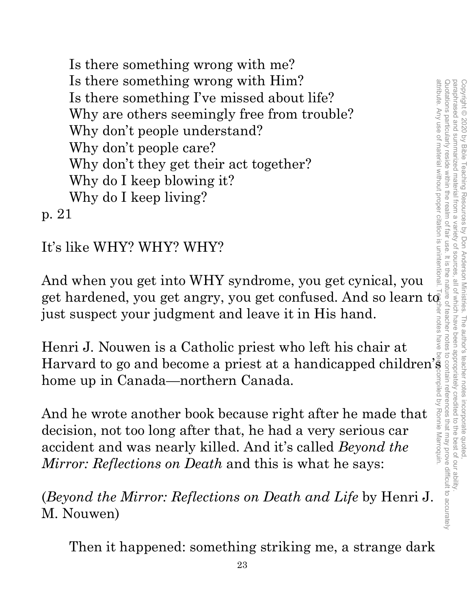Is there something wrong with me? Is there something wrong with Him? Is there something I've missed about life? Why are others seemingly free from trouble? Why don't people understand? Why don't people care? Why don't they get their act together? Why do I keep blowing it? Why do I keep living? p. 21

It's like WHY? WHY? WHY?

And when you get into WHY syndrome, you get cynical, you get hardened, you get angry, you get confused. And so learn  $\mathrm{t} \bar{\mathfrak{g}}$ just suspect your judgment and leave it in His hand.

Henri J. Nouwen is a Catholic priest who left his chair at Harvard to go and become a priest at a handicapped children's home up in Canada—northern Canada.

And he wrote another book because right after he made that decision, not too long after that, he had a very serious car accident and was nearly killed. And it's called *Beyond the Mirror: Reflections on Death* and this is what he says:

(*Beyond the Mirror: Reflections on Death and Life* by Henri J. M. Nouwen)

Then it happened: something striking me, a strange dark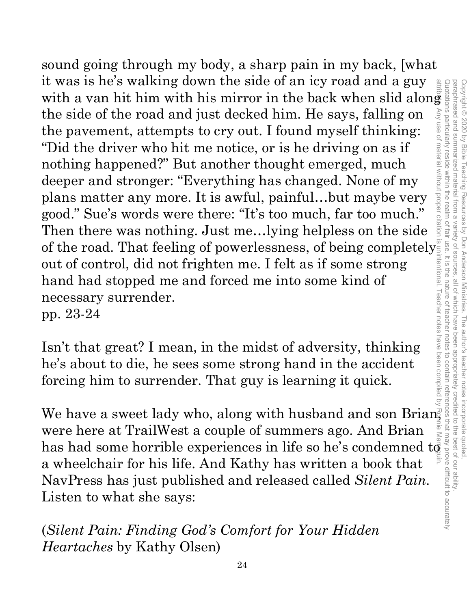sound going through my body, a sharp pain in my back, [what it was is he's walking down the side of an icy road and a guy  $\frac{a}{\frac{a}{b}}$  with a van hit him with his mirror in the back when slid along with a van hit him with his mirror in the back when slid along the side of the road and just decked him. He says, falling on the pavement, attempts to cry out. I found myself thinking: "Did the driver who hit me notice, or is he driving on as if nothing happened?" But another thought emerged, much deeper and stronger: "Everything has changed. None of my plans matter any more. It is awful, painful…but maybe very good." Sue's words were there: "It's too much, far too much." Then there was nothing. Just me…lying helpless on the side of the road. That feeling of powerlessness, of being completely out of control, did not frighten me. I felt as if some strong hand had stopped me and forced me into some kind of necessary surrender. pp. 23-24 It was no is walking down the side of an izy road and a give horizontal<br>
with a van hit him with his mirror in the back when slid along<br>
the side of the road and just decked him. He says, falling on<br>
the pavement, attempt attribute. Any use of material without proper citation is unintentional. Teacher notes have been compiled by Ronnie Marroquin.

Isn't that great? I mean, in the midst of adversity, thinking he's about to die, he sees some strong hand in the accident forcing him to surrender. That guy is learning it quick.

We have a sweet lady who, along with husband and son Brian, were here at TrailWest a couple of summers ago. And Brian a wheelchair for his life. And Kathy has written a book that NavPress has just published and released called *Silent Pain*. Listen to what she says:

(*Silent Pain: Finding God's Comfort for Your Hidden Heartaches* by Kathy Olsen)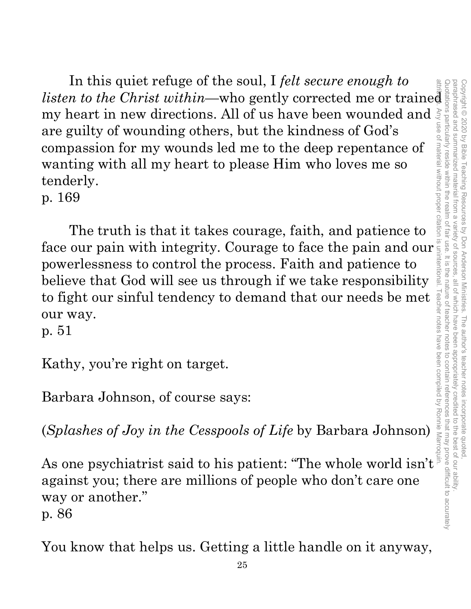In this quiet refuge of the soul, I *felt secure enough to*  In this quiet retuge of the soul, 1 *felt secure enough to*<br>*listen to the Christ within*—who gently corrected me or trained<br>my heart in new directions. All of us have been wounded and  $\frac{1}{2}$ <br>are guilty of wounding oth my heart in new directions. All of us have been wounded and  $\frac{3}{5}$  are guilty of wounding others, but the kindness of God's compassion for my wounds led me to the deep repentance of wanting with all my heart to please are guilty of wounding others, but the kindness of God's compassion for my wounds led me to the deep repentance of wanting with all my heart to please Him who loves me so tenderly.

p. 169

The truth is that it takes courage, faith, and patience to face our pain with integrity. Courage to face the pain and our powerlessness to control the process. Faith and patience to believe that God will see us through if we take responsibility to fight our sinful tendency to demand that our needs be met our way. to fight our sinful tendency to demand that our needs be met  $\frac{1}{8}$ <br>our way.<br>p. 51<br>Kathy, you're right on target.<br>Barbara Johnson, of course says:<br>(Splashes of Joy in the Cesspools of Life by Barbara Johnson)

p. 51

Kathy, you're right on target.

Barbara Johnson, of course says:

(*Splashes of Joy in the Cesspools of Life* by Barbara Johnson)

against you; there are millions of people who don't care one way or another." p. 86

You know that helps us. Getting a little handle on it anyway,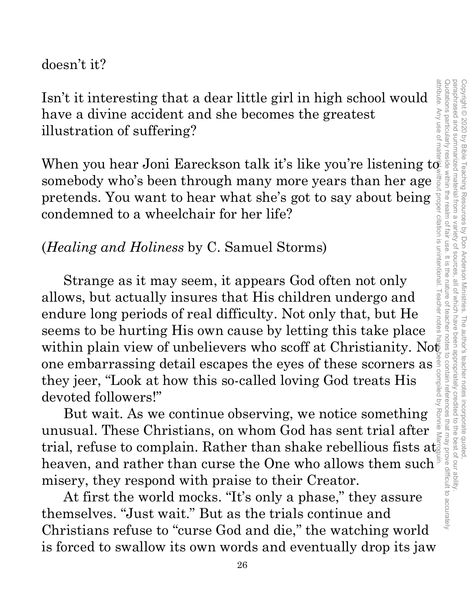#### doesn't it?

Isn't it interesting that a dear little girl in high school would have a divine accident and she becomes the greatest illustration of suffering?

When you hear Joni Eareckson talk it's like you're listening to somebody who's been through many more years than her age pretends. You want to hear what she's got to say about being condemned to a wheelchair for her life?

#### (*Healing and Holiness* by C. Samuel Storms)

Strange as it may seem, it appears God often not only allows, but actually insures that His children undergo and endure long periods of real difficulty. Not only that, but He seems to be hurting His own cause by letting this take place within plain view of unbelievers who scoff at Christianity. Not one embarrassing detail escapes the eyes of these scorners as they jeer, "Look at how this so-called loving God treats His<br>devoted followers!"<br>But wait. As we continue observing, we notice something they jeer, "Look at how this so-called loving God treats His devoted followers!"

But wait. As we continue observing, we notice something unusual. These Christians, on whom God has sent trial after trial, refuse to complain. Rather than shake rebellious fists at  $\frac{1}{8}$ heaven, and rather than curse the One who allows them such misery, they respond with praise to their Creator.

At first the world mocks. "It's only a phase," they assure themselves. "Just wait." But as the trials continue and Christians refuse to "curse God and die," the watching world is forced to swallow its own words and eventually drop its jaw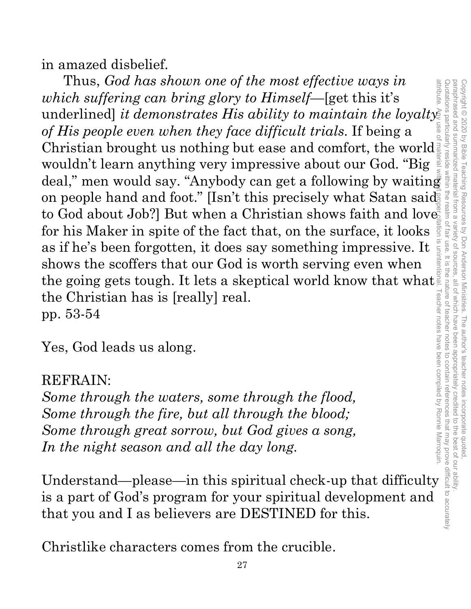in amazed disbelief.

Thus, *God has shown one of the most effective ways in which suffering can bring glory to Himself—*[get this it's underlined] *it demonstrates His ability to maintain the loyalty of His people even when they face difficult trials*. If being a Christian brought us nothing but ease and comfort, the world wouldn't learn anything very impressive about our God. "Big deal," men would say. "Anybody can get a following by waiting on people hand and foot." [Isn't this precisely what Satan said to God about Job?] But when a Christian shows faith and love for his Maker in spite of the fact that, on the surface, it looks as if he's been forgotten, it does say something impressive. It shows the scoffers that our God is worth serving even when as if he's been forgotten, it does say something impressive. It shows the scoffers that our God is worth serving even when<br>the going gets tough. It lets a skeptical world know that what<br>the Christian has is [really] real. the Christian has is [really] real. pp. 53-54 shows the scoffers that our God is worth serving even when<br>the going gets tough. It lets a skeptical world know that what<br>the Christian has is [really] real.<br>pp. 53-54<br>Yes, God leads us along.<br>REFRAIN:<br>Some through the wa

Yes, God leads us along.

#### REFRAIN:

*Some through the waters, some through the flood, Some through the fire, but all through the blood; Some through great sorrow, but God gives a song, In the night season and all the day long.*

is a part of God's program for your spiritual development and that you and I as believers are DESTINED for this.

Christlike characters comes from the crucible.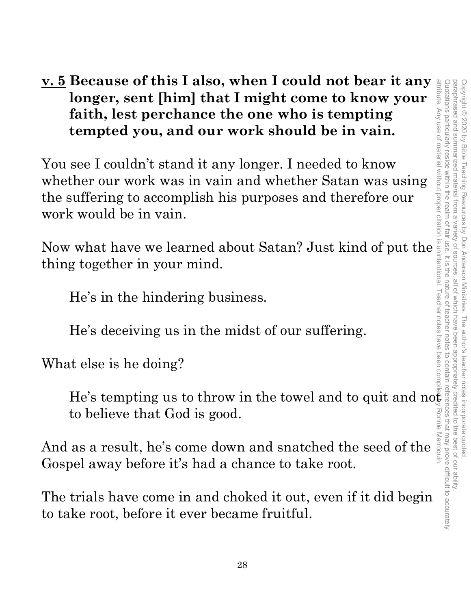#### **v. 5 Because of this I also, when I could not bear it any longer, sent [him] that I might come to know your faith, lest perchance the one who is tempting tempted you, and our work should be in vain.**

You see I couldn't stand it any longer. I needed to know whether our work was in vain and whether Satan was using the suffering to accomplish his purposes and therefore our work would be in vain.

Now what have we learned about Satan? Just kind of put the thing together in your mind.

He's in the hindering business.

He's deceiving us in the midst of our suffering.

What else is he doing?

He's tempting us to throw in the towel and to quit and not to believe that God is good.

to believe that God is good.<br>And as a result, he's come down and snatched the seed of the  $\frac{2}{3}$ <br>Coanal away before it's had a shape to take rest. Gospel away before it's had a chance to take root.

The trials have come in and choked it out, even if it did begin to take root, before it ever became fruitful.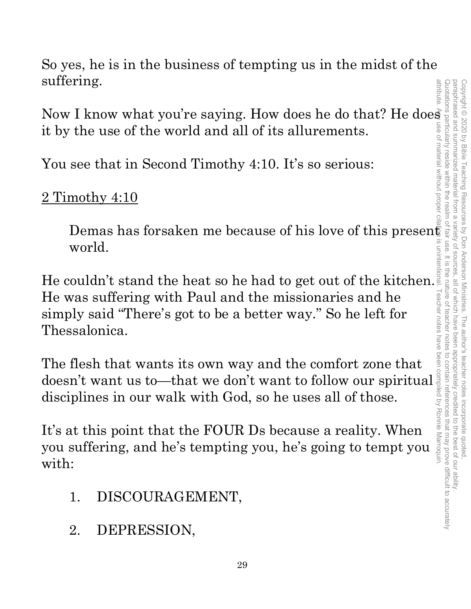So yes, he is in the business of tempting us in the midst of the suffering.

Suriering.<br>
Now I know what you're saying. How does he do that? He does<br>
it by the use of the world and all of its allurements.<br>
You see that in Second Timothy 4:10. It's so serious:<br>  $\frac{2 \text{ Timothy } 4:10}{\frac{2}{3}}$ it by the use of the world and all of its allurements.

You see that in Second Timothy 4:10. It's so serious:

2 Timothy 4:10

Demas has forsaken me because of his love of this present world.

He couldn't stand the heat so he had to get out of the kitchen. He was suffering with Paul and the missionaries and he simply said "There's got to be a better way." So he left for Thessalonica. He was suffering with Paul and the missionaries and he<br>
simply said "There's got to be a better way." So he left for<br>
Thessalonica.<br>
The flesh that wants its own way and the comfort zone that<br>
doesn't want us to—that we d

The flesh that wants its own way and the comfort zone that disciplines in our walk with God, so he uses all of those.

It's at this point that the FOUR Ds because a reality. When you suffering, and he's tempting you, he's going to tempt you with:

- 1. DISCOURAGEMENT,
- 2. DEPRESSION,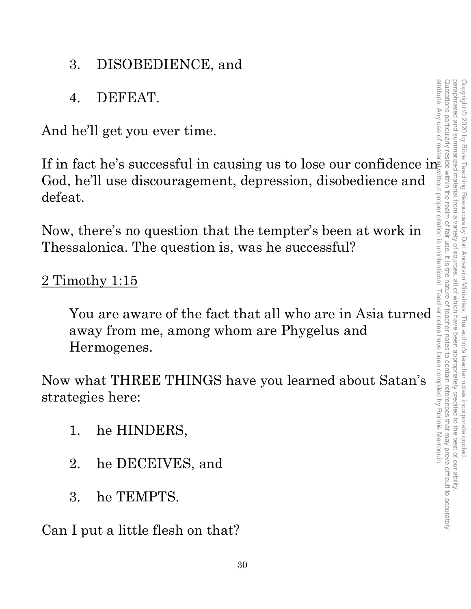- 3. DISOBEDIENCE, and
- 4. DEFEAT.

And he'll get you ever time.

If in fact he's successful in causing us to lose our confidence in God, he'll use discouragement, depression, disobedience and defeat.

Now, there's no question that the tempter's been at work in Thessalonica. The question is, was he successful?

#### 2 Timothy 1:15

You are aware of the fact that all who are in Asia turned away from me, among whom are Phygelus and Hermogenes.

Now what THREE THINGS have you learned about Satan's strategies here:

- 1. he HINDERS,
- 2. he DECEIVES, and
- 3. he TEMPTS.

Can I put a little flesh on that?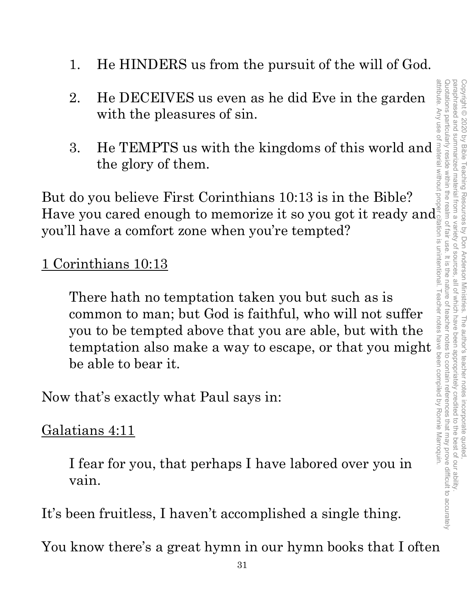- 1. He HINDERS us from the pursuit of the will of God.
- 2. He DECEIVES us even as he did Eve in the garden with the pleasures of sin.
- 3. He TEMPTS us with the kingdoms of this world and the glory of them.

But do you believe First Corinthians 10:13 is in the Bible? Have you cared enough to memorize it so you got it ready and you'll have a comfort zone when you're tempted?

#### 1 Corinthians 10:13

There hath no temptation taken you but such as is common to man; but God is faithful, who will not suffer you to be tempted above that you are able, but with the There hath no temptation taken you but such as is<br>
common to man; but God is faithful, who will not suffer<br>
you to be tempted above that you are able, but with the<br>
temptation also make a way to escape, or that you might<br> be able to bear it.

Now that's exactly what Paul says in:

#### Galatians 4:11

I fear for you, that perhaps I have labored over you in vain.

It's been fruitless, I haven't accomplished a single thing.

You know there's a great hymn in our hymn books that I often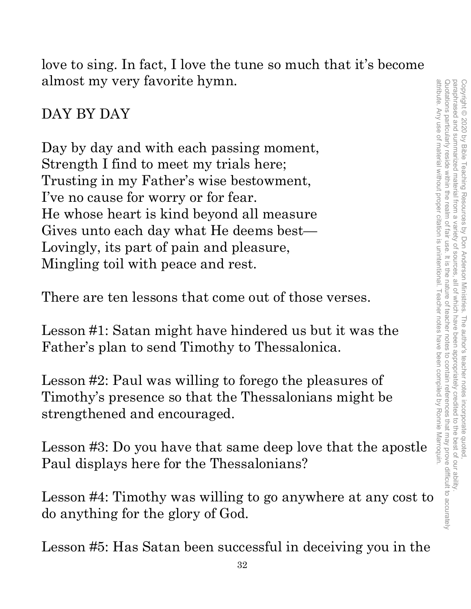love to sing. In fact, I love the tune so much that it's become almost my very favorite hymn.

#### DAY BY DAY

Day by day and with each passing moment, Strength I find to meet my trials here; Trusting in my Father's wise bestowment, I've no cause for worry or for fear. He whose heart is kind beyond all measure Gives unto each day what He deems best— Lovingly, its part of pain and pleasure, Mingling toil with peace and rest.

There are ten lessons that come out of those verses.

Lesson #1: Satan might have hindered us but it was the Father's plan to send Timothy to Thessalonica.

Lesson #2: Paul was willing to forego the pleasures of Timothy's presence so that the Thessalonians might be strengthened and encouraged.

Lesson #3: Do you have that same deep love that the apostle Paul displays here for the Thessalonians?

Lesson #4: Timothy was willing to go anywhere at any cost to do anything for the glory of God.

Lesson #5: Has Satan been successful in deceiving you in the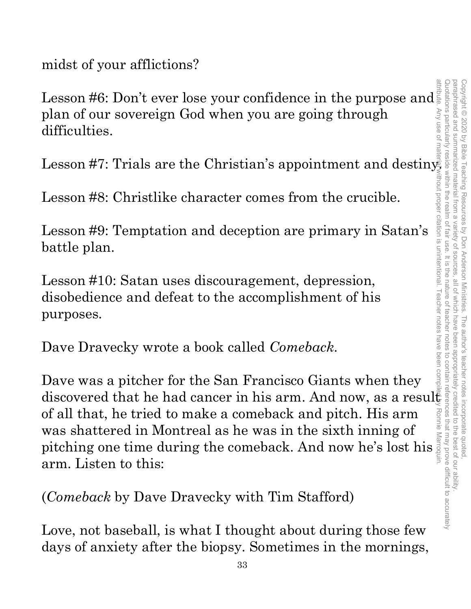midst of your afflictions?

Lesson #6: Don't ever lose your confidence in the purpose and plan of our sovereign God when you are going through difficulties.

Lesson #7: Trials are the Christian's appointment and destiny.

Lesson #8: Christlike character comes from the crucible.

Lesson #9: Temptation and deception are primary in Satan's battle plan.

Lesson #10: Satan uses discouragement, depression, disobedience and defeat to the accomplishment of his purposes.

Dave Dravecky wrote a book called *Comeback*.

attribute. Any use of material without proper citation is unintentional. Teacher notes have been compiled by Ronnie Marroquin.Dave was a pitcher for the San Francisco Giants when they discovered that he had cancer in his arm. And now, as a resul $\ddot{\xi}$ of all that, he tried to make a comeback and pitch. His arm Ronnie was shattered in Montreal as he was in the sixth inning of was snattered in montreal as he was in the sixth miling of  $\frac{1}{8}$  pitching one time during the comeback. And now he's lost his arm. Listen to this:

(*Comeback* by Dave Dravecky with Tim Stafford)

Love, not baseball, is what I thought about during those few days of anxiety after the biopsy. Sometimes in the mornings,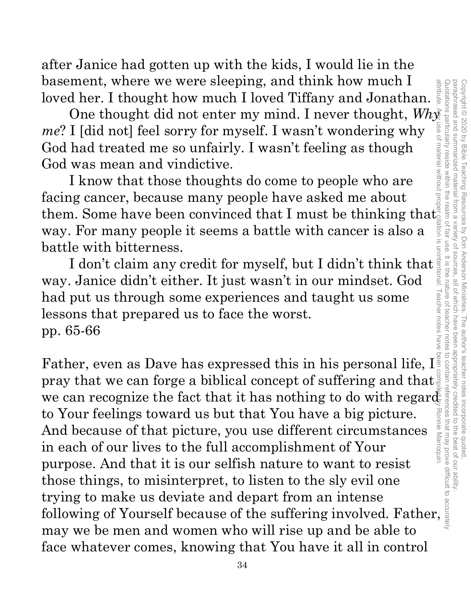after Janice had gotten up with the kids, I would lie in the basement, where we were sleeping, and think how much I

loved her. I thought how much I loved Tiffany and Jonathan.  $\frac{g}{\tilde{s}}$ <br>One thought did not enter my mind. I never thought,  $Wh\tilde{\chi}$ One thought did not enter my mind. I never thought, *Why me*? I [did not] feel sorry for myself. I wasn't wondering why God had treated me so unfairly. I wasn't feeling as though God was mean and vindictive.

I know that those thoughts do come to people who are facing cancer, because many people have asked me about them. Some have been convinced that I must be thinking that way. For many people it seems a battle with cancer is also a battle with bitterness.

I don't claim any credit for myself, but I didn't think that way. Janice didn't either. It just wasn't in our mindset. God had put us through some experiences and taught us some lessons that prepared us to face the worst. pp. 65-66

Copyright © 2020 by Bible Teaching Resources by Don Anderson Ministries. The author's teacher notes incorporate quoted,

Copyright © 2020 by Bible Teaching Resources by Don Anderson Ministries. The author's teacher notes incorporate quoted

paraphrased and summarized material from a variety of sources, all of which have been appropriately credited to the best of our ability.

, all of which have been

appropriately credited to the best of our ability

paraphrased and summarized material from a variety of sources

attribute

attribute. Any use of material without proper citation is unintentional. Teacher notes have been compiled by Ronnie Marroquin.Quotations particularly reside within the realm of fair use. It is the nature of teacher notes to contain references that may prove difficult to accurately Father, even as Dave has expressed this in his personal life,  $I_{\text{max}}^{\text{max}}$  pray that we can forge a biblical concept of suffering and that  $\frac{1}{2}$  we can recognize the fact that it has nothing to do with regard to Yo Father, even as Dave has expressed this in his personal life, I pray that we can forge a biblical concept of suffering and that to Your feelings toward us but that You have a big picture. Ronnie Marroquin And because of that picture, you use different circumstances in each of our lives to the full accomplishment of Your purpose. And that it is our selfish nature to want to resist those things, to misinterpret, to listen to the sly evil one trying to make us deviate and depart from an intense following of Yourself because of the suffering involved. Father, may we be men and women who will rise up and be able to face whatever comes, knowing that You have it all in control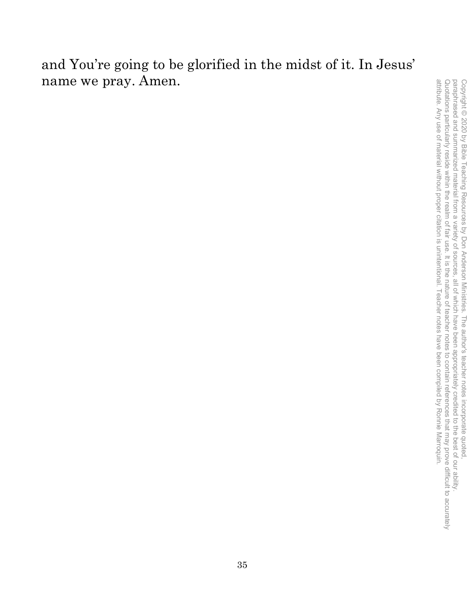#### and You're going to be glorified in the midst of it. In Jesus' name we pray. Amen.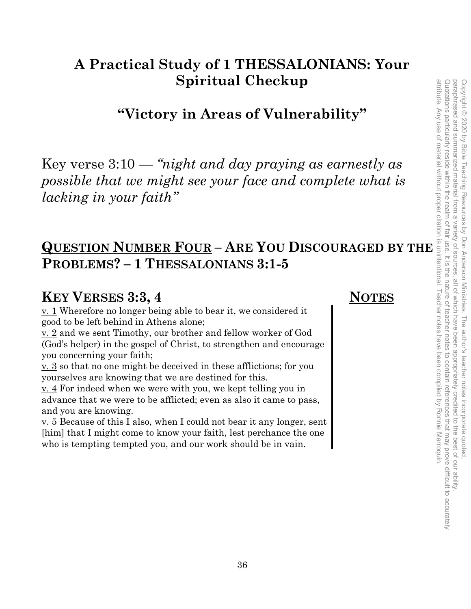### **A Practical Study of 1 THESSALONIANS: Your Spiritual Checkup**

**"Victory in Areas of Vulnerability"** 

Key verse 3:10 — *"night and day praying as earnestly as possible that we might see your face and complete what is lacking in your faith"*  **Spiritual Checkup**<br> **Spiritual Checkup**<br> **CVICOTY in Areas of Vulnerability"**<br> **Example 3:10** — "hight and day praying as earnestly as<br>
possible that we might see your face and complete what is<br>
lacking in your faith"<br>

## **PROBLEMS? – 1 THESSALONIANS 3:1-5**

#### **KEY VERSES 3:3, 4** NOTES

v. 1 Wherefore no longer being able to bear it, we considered it good to be left behind in Athens alone;

v. 2 and we sent Timothy, our brother and fellow worker of God (God's helper) in the gospel of Christ, to strengthen and encourage you concerning your faith;

v. 3 so that no one might be deceived in these afflictions; for you yourselves are knowing that we are destined for this.

 $\underline{v}$ . 4 For indeed when we were with you, we kept telling you in advance that we were to be afflicted; even as also it came to pass, and you are knowing.

v. 5 Because of this I also, when I could not bear it any longer, sent [him] that I might come to know your faith, lest perchance the one who is tempting tempted you, and our work should be in vain.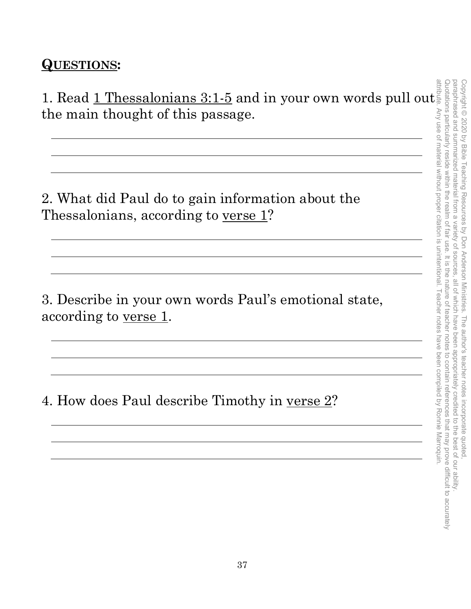#### **QUESTIONS:**

1. Read  $1$  Thessalonians 3:1-5 and in your own words pull out. the main thought of this passage.

2. What did Paul do to gain information about the Thessalonians, according to <u>verse 1</u>?

3. Describe in your own words Paul's emotional state, according to <u>verse 1</u>.

4. How does Paul describe Timothy in <u>verse 2</u>?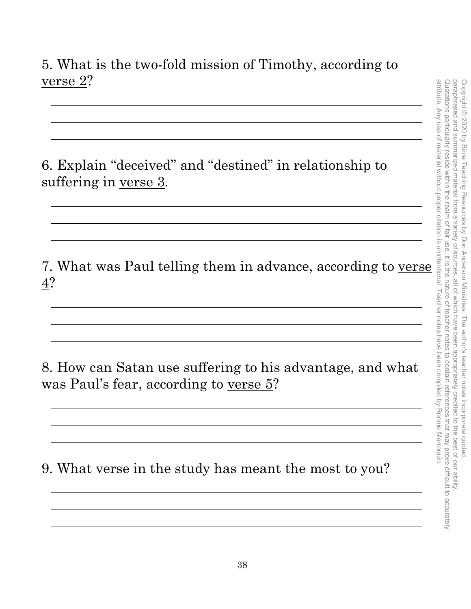#### 5. What is the two-fold mission of Timothy, according to verse 2?

6. Explain "deceived" and "destined" in relationship to suffering in <u>verse 3</u>.

7. What was Paul telling them in advance, according to verse 4?

8. How can Satan use suffering to his advantage, and what was Paul's fear, according to verse 5?

<u> 1980 - Johann Stoff, deutscher Stoff, der Stoff, der Stoff, der Stoff, der Stoff, der Stoff, der Stoff, der S</u>

9. What verse in the study has meant the most to you?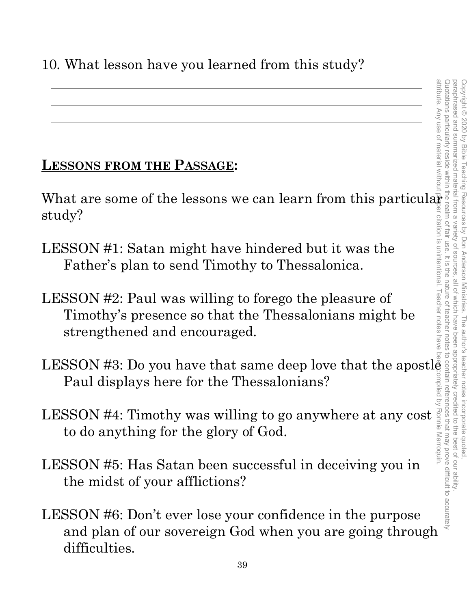#### **LESSONS FROM THE PASSAGE:**

What are some of the lessons we can learn from this particular study?

- LESSON #1: Satan might have hindered but it was the Father's plan to send Timothy to Thessalonica.
- LESSON #2: Paul was willing to forego the pleasure of Timothy's presence so that the Thessalonians might be strengthened and encouraged.
- LESSON #3: Do you have that same deep love that the apostle Paul displays here for the Thessalonians? attribute. Any use of material without proper citation is unintentional. Teacher notes have been compiled by Ronnie Marroquin.
- LESSON #4: Timothy was willing to go anywhere at any cost to do anything for the glory of God.
- LESSON #5: Has Satan been successful in deceiving you in the midst of your afflictions?
- LESSON #6: Don't ever lose your confidence in the purpose and plan of our sovereign God when you are going through difficulties.